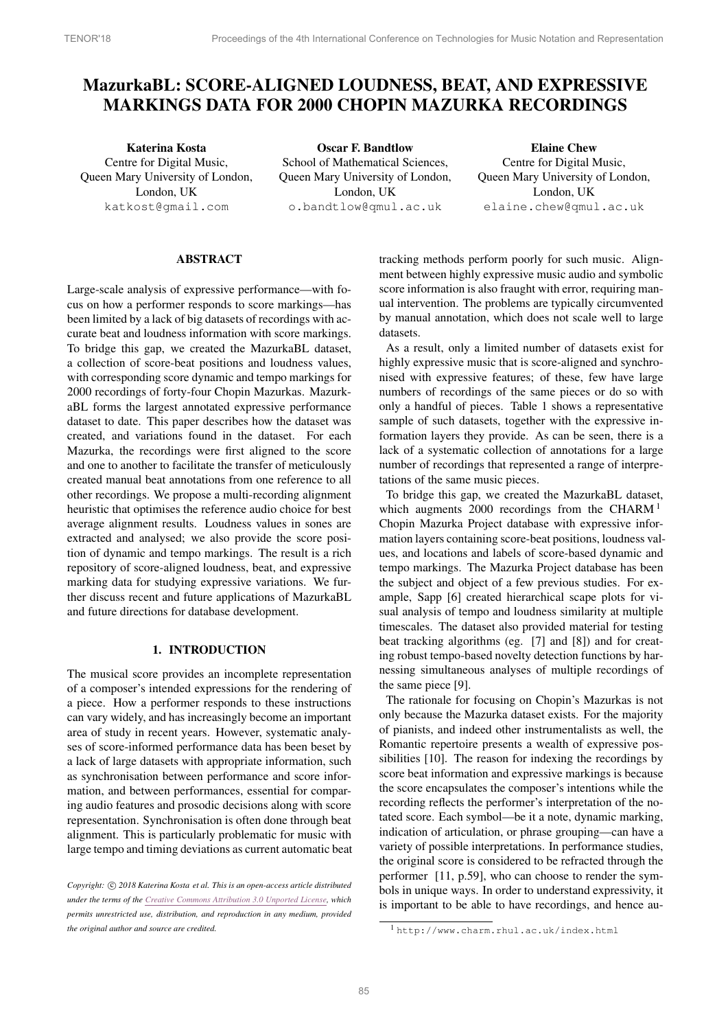# MazurkaBL: SCORE-ALIGNED LOUDNESS, BEAT, AND EXPRESSIVE MARKINGS DATA FOR 2000 CHOPIN MAZURKA RECORDINGS

Katerina Kosta Centre for Digital Music, Queen Mary University of London, London, UK [katkost@gmail.com](mailto:author1@adomain.org)

Oscar F. Bandtlow School of Mathematical Sciences, Queen Mary University of London, London, UK [o.bandtlow@qmul.ac.uk](mailto:author2@adomain.org)

Elaine Chew Centre for Digital Music, Queen Mary University of London, London, UK [elaine.chew@qmul.ac.uk](mailto:author3@adomain.org)

#### ABSTRACT

Large-scale analysis of expressive performance—with focus on how a performer responds to score markings—has been limited by a lack of big datasets of recordings with accurate beat and loudness information with score markings. To bridge this gap, we created the MazurkaBL dataset, a collection of score-beat positions and loudness values, with corresponding score dynamic and tempo markings for 2000 recordings of forty-four Chopin Mazurkas. MazurkaBL forms the largest annotated expressive performance dataset to date. This paper describes how the dataset was created, and variations found in the dataset. For each Mazurka, the recordings were first aligned to the score and one to another to facilitate the transfer of meticulously created manual beat annotations from one reference to all other recordings. We propose a multi-recording alignment heuristic that optimises the reference audio choice for best average alignment results. Loudness values in sones are extracted and analysed; we also provide the score position of dynamic and tempo markings. The result is a rich repository of score-aligned loudness, beat, and expressive marking data for studying expressive variations. We further discuss recent and future applications of MazurkaBL and future directions for database development.

# 1. INTRODUCTION

The musical score provides an incomplete representation of a composer's intended expressions for the rendering of a piece. How a performer responds to these instructions can vary widely, and has increasingly become an important area of study in recent years. However, systematic analyses of score-informed performance data has been beset by a lack of large datasets with appropriate information, such as synchronisation between performance and score information, and between performances, essential for comparing audio features and prosodic decisions along with score representation. Synchronisation is often done through beat alignment. This is particularly problematic for music with large tempo and timing deviations as current automatic beat tracking methods perform poorly for such music. Alignment between highly expressive music audio and symbolic score information is also fraught with error, requiring manual intervention. The problems are typically circumvented by manual annotation, which does not scale well to large datasets.

As a result, only a limited number of datasets exist for highly expressive music that is score-aligned and synchronised with expressive features; of these, few have large numbers of recordings of the same pieces or do so with only a handful of pieces. Table [1](#page-1-0) shows a representative sample of such datasets, together with the expressive information layers they provide. As can be seen, there is a lack of a systematic collection of annotations for a large number of recordings that represented a range of interpretations of the same music pieces.

To bridge this gap, we created the MazurkaBL dataset, which augments 2000 recordings from the CHARM  $<sup>1</sup>$  $<sup>1</sup>$  $<sup>1</sup>$ </sup> Chopin Mazurka Project database with expressive information layers containing score-beat positions, loudness values, and locations and labels of score-based dynamic and tempo markings. The Mazurka Project database has been the subject and object of a few previous studies. For example, Sapp [\[6\]](#page-7-0) created hierarchical scape plots for visual analysis of tempo and loudness similarity at multiple timescales. The dataset also provided material for testing beat tracking algorithms (eg. [\[7\]](#page-7-1) and [\[8\]](#page-8-0)) and for creating robust tempo-based novelty detection functions by harnessing simultaneous analyses of multiple recordings of the same piece [\[9\]](#page-8-1).

The rationale for focusing on Chopin's Mazurkas is not only because the Mazurka dataset exists. For the majority of pianists, and indeed other instrumentalists as well, the Romantic repertoire presents a wealth of expressive possibilities [\[10\]](#page-8-2). The reason for indexing the recordings by score beat information and expressive markings is because the score encapsulates the composer's intentions while the recording reflects the performer's interpretation of the notated score. Each symbol—be it a note, dynamic marking, indication of articulation, or phrase grouping—can have a variety of possible interpretations. In performance studies, the original score is considered to be refracted through the performer [\[11,](#page-8-3) p.59], who can choose to render the symbols in unique ways. In order to understand expressivity, it is important to be able to have recordings, and hence au-

*Copyright:*  $\odot$  2018 Katerina Kosta et al. This is an open-access article distributed *under the terms of the Creative Commons [Attribution](http://creativecommons.org/licenses/by/3.0/) 3.0 Unported License, which permits unrestricted use, distribution, and reproduction in any medium, provided the original author and source are credited.*

<span id="page-0-0"></span><sup>1</sup> <http://www.charm.rhul.ac.uk/index.html>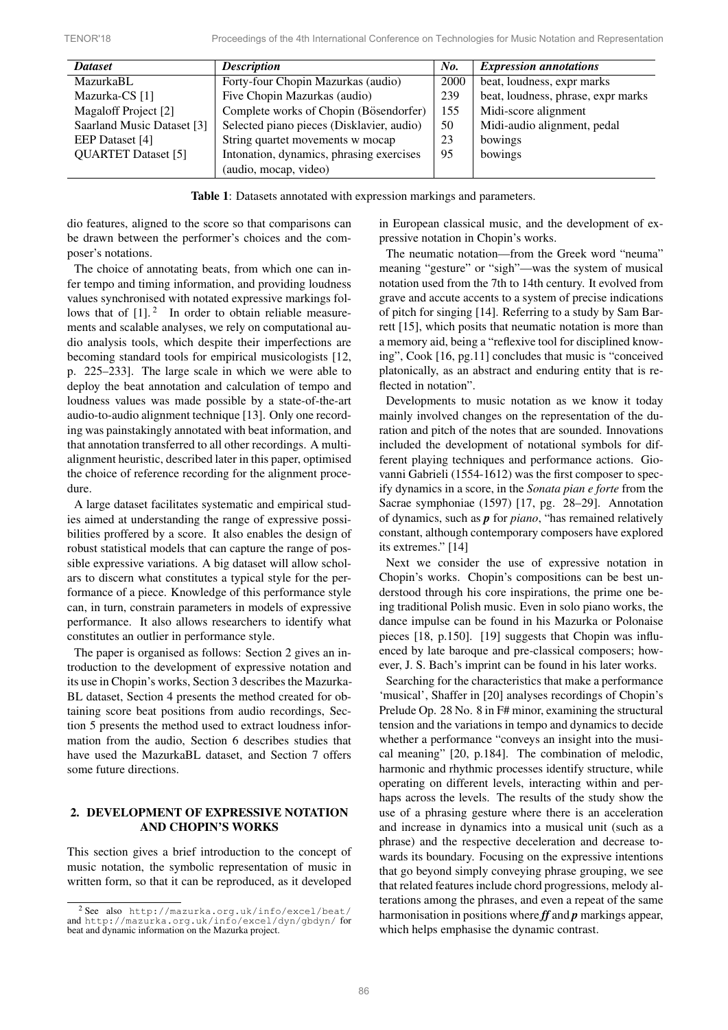| <b>Dataset</b>             | <b>Description</b>                        | No.  | <b>Expression annotations</b>      |
|----------------------------|-------------------------------------------|------|------------------------------------|
| <b>MazurkaBL</b>           | Forty-four Chopin Mazurkas (audio)        | 2000 | beat, loudness, expr marks         |
| Mazurka-CS [1]             | Five Chopin Mazurkas (audio)              | 239  | beat, loudness, phrase, expr marks |
| Magaloff Project [2]       | Complete works of Chopin (Bösendorfer)    | 155  | Midi-score alignment               |
| Saarland Music Dataset [3] | Selected piano pieces (Disklavier, audio) | 50   | Midi-audio alignment, pedal        |
| EEP Dataset [4]            | String quartet movements w mocap          | 23   | bowings                            |
| <b>QUARTET Dataset [5]</b> | Intonation, dynamics, phrasing exercises  | 95   | bowings                            |
|                            | (audio, mocap, video)                     |      |                                    |

<span id="page-1-0"></span>Table 1: Datasets annotated with expression markings and parameters.

dio features, aligned to the score so that comparisons can be drawn between the performer's choices and the composer's notations.

The choice of annotating beats, from which one can infer tempo and timing information, and providing loudness values synchronised with notated expressive markings follows that of  $[1]$ .<sup>[2](#page-1-1)</sup> In order to obtain reliable measurements and scalable analyses, we rely on computational audio analysis tools, which despite their imperfections are becoming standard tools for empirical musicologists [\[12,](#page-8-4) p. 225–233]. The large scale in which we were able to deploy the beat annotation and calculation of tempo and loudness values was made possible by a state-of-the-art audio-to-audio alignment technique [\[13\]](#page-8-5). Only one recording was painstakingly annotated with beat information, and that annotation transferred to all other recordings. A multialignment heuristic, described later in this paper, optimised the choice of reference recording for the alignment procedure.

A large dataset facilitates systematic and empirical studies aimed at understanding the range of expressive possibilities proffered by a score. It also enables the design of robust statistical models that can capture the range of possible expressive variations. A big dataset will allow scholars to discern what constitutes a typical style for the performance of a piece. Knowledge of this performance style can, in turn, constrain parameters in models of expressive performance. It also allows researchers to identify what constitutes an outlier in performance style.

The paper is organised as follows: Section [2](#page-1-2) gives an introduction to the development of expressive notation and its use in Chopin's works, Section [3](#page-2-0) describes the Mazurka-BL dataset, Section [4](#page-4-0) presents the method created for obtaining score beat positions from audio recordings, Section [5](#page-6-0) presents the method used to extract loudness information from the audio, Section [6](#page-6-1) describes studies that have used the MazurkaBL dataset, and Section [7](#page-7-7) offers some future directions.

## <span id="page-1-2"></span>2. DEVELOPMENT OF EXPRESSIVE NOTATION AND CHOPIN'S WORKS

This section gives a brief introduction to the concept of music notation, the symbolic representation of music in written form, so that it can be reproduced, as it developed

in European classical music, and the development of expressive notation in Chopin's works.

The neumatic notation—from the Greek word "neuma" meaning "gesture" or "sigh"—was the system of musical notation used from the 7th to 14th century. It evolved from grave and accute accents to a system of precise indications of pitch for singing [\[14\]](#page-8-6). Referring to a study by Sam Barrett [\[15\]](#page-8-7), which posits that neumatic notation is more than a memory aid, being a "reflexive tool for disciplined knowing", Cook [\[16,](#page-8-8) pg.11] concludes that music is "conceived platonically, as an abstract and enduring entity that is reflected in notation".

Developments to music notation as we know it today mainly involved changes on the representation of the duration and pitch of the notes that are sounded. Innovations included the development of notational symbols for different playing techniques and performance actions. Giovanni Gabrieli (1554-1612) was the first composer to specify dynamics in a score, in the *Sonata pian e forte* from the Sacrae symphoniae (1597) [\[17,](#page-8-9) pg. 28–29]. Annotation of dynamics, such as *p* for *piano*, "has remained relatively constant, although contemporary composers have explored its extremes." [\[14\]](#page-8-6)

Next we consider the use of expressive notation in Chopin's works. Chopin's compositions can be best understood through his core inspirations, the prime one being traditional Polish music. Even in solo piano works, the dance impulse can be found in his Mazurka or Polonaise pieces [\[18,](#page-8-10) p.150]. [\[19\]](#page-8-11) suggests that Chopin was influenced by late baroque and pre-classical composers; however, J. S. Bach's imprint can be found in his later works.

Searching for the characteristics that make a performance 'musical', Shaffer in [\[20\]](#page-8-12) analyses recordings of Chopin's Prelude Op. 28 No. 8 in F# minor, examining the structural tension and the variations in tempo and dynamics to decide whether a performance "conveys an insight into the musical meaning" [\[20,](#page-8-12) p.184]. The combination of melodic, harmonic and rhythmic processes identify structure, while operating on different levels, interacting within and perhaps across the levels. The results of the study show the use of a phrasing gesture where there is an acceleration and increase in dynamics into a musical unit (such as a phrase) and the respective deceleration and decrease towards its boundary. Focusing on the expressive intentions that go beyond simply conveying phrase grouping, we see that related features include chord progressions, melody alterations among the phrases, and even a repeat of the same harmonisation in positions where *ff* and *p* markings appear, which helps emphasise the dynamic contrast.

<span id="page-1-1"></span><sup>2</sup> See also <http://mazurka.org.uk/info/excel/beat/> and <http://mazurka.org.uk/info/excel/dyn/gbdyn/> for beat and dynamic information on the Mazurka project.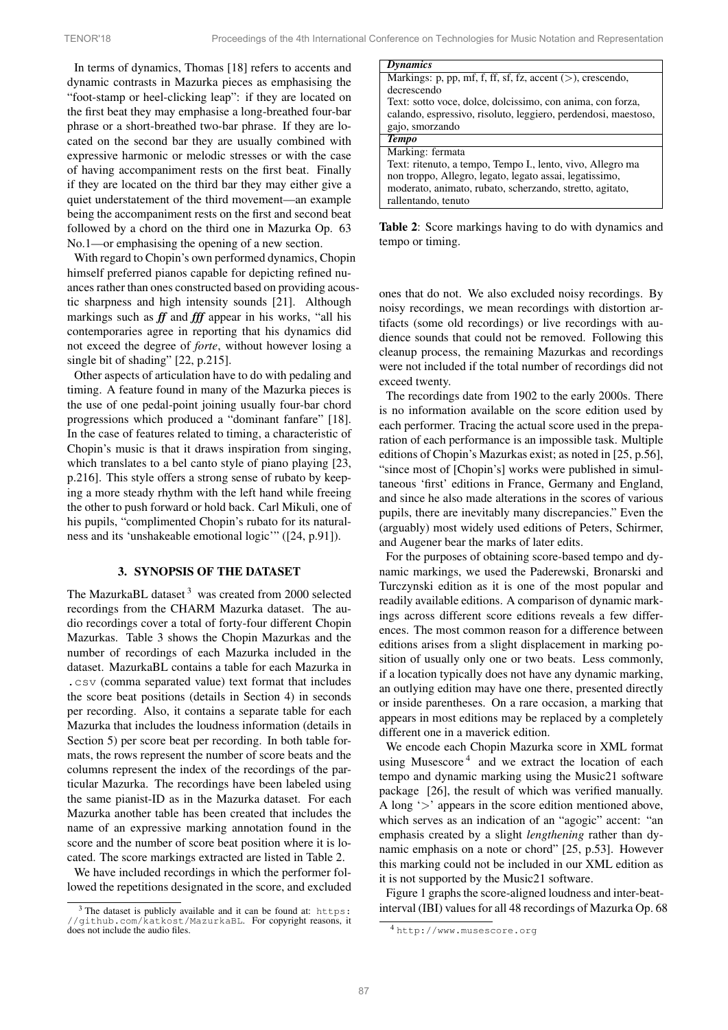In terms of dynamics, Thomas [\[18\]](#page-8-10) refers to accents and dynamic contrasts in Mazurka pieces as emphasising the "foot-stamp or heel-clicking leap": if they are located on the first beat they may emphasise a long-breathed four-bar phrase or a short-breathed two-bar phrase. If they are located on the second bar they are usually combined with expressive harmonic or melodic stresses or with the case of having accompaniment rests on the first beat. Finally if they are located on the third bar they may either give a quiet understatement of the third movement—an example being the accompaniment rests on the first and second beat followed by a chord on the third one in Mazurka Op. 63 No.1—or emphasising the opening of a new section.

With regard to Chopin's own performed dynamics, Chopin himself preferred pianos capable for depicting refined nuances rather than ones constructed based on providing acoustic sharpness and high intensity sounds [\[21\]](#page-8-13). Although markings such as *ff* and *fff* appear in his works, "all his contemporaries agree in reporting that his dynamics did not exceed the degree of *forte*, without however losing a single bit of shading" [\[22,](#page-8-14) p.215].

Other aspects of articulation have to do with pedaling and timing. A feature found in many of the Mazurka pieces is the use of one pedal-point joining usually four-bar chord progressions which produced a "dominant fanfare" [\[18\]](#page-8-10). In the case of features related to timing, a characteristic of Chopin's music is that it draws inspiration from singing, which translates to a bel canto style of piano playing [\[23,](#page-8-15) p.216]. This style offers a strong sense of rubato by keeping a more steady rhythm with the left hand while freeing the other to push forward or hold back. Carl Mikuli, one of his pupils, "complimented Chopin's rubato for its naturalness and its 'unshakeable emotional logic'" ([\[24,](#page-8-16) p.91]).

# 3. SYNOPSIS OF THE DATASET

<span id="page-2-0"></span>The MazurkaBL dataset  $3$  was created from 2000 selected recordings from the CHARM Mazurka dataset. The audio recordings cover a total of forty-four different Chopin Mazurkas. Table [3](#page-3-0) shows the Chopin Mazurkas and the number of recordings of each Mazurka included in the dataset. MazurkaBL contains a table for each Mazurka in .csv (comma separated value) text format that includes the score beat positions (details in Section [4\)](#page-4-0) in seconds per recording. Also, it contains a separate table for each Mazurka that includes the loudness information (details in Section [5\)](#page-6-0) per score beat per recording. In both table formats, the rows represent the number of score beats and the columns represent the index of the recordings of the particular Mazurka. The recordings have been labeled using the same pianist-ID as in the Mazurka dataset. For each Mazurka another table has been created that includes the name of an expressive marking annotation found in the score and the number of score beat position where it is located. The score markings extracted are listed in Table [2.](#page-2-2)

We have included recordings in which the performer followed the repetitions designated in the score, and excluded

<span id="page-2-2"></span>

| <b>Dynamics</b>                                                |  |  |  |  |
|----------------------------------------------------------------|--|--|--|--|
| Markings: p, pp, mf, f, ff, sf, fz, accent $(>)$ , crescendo,  |  |  |  |  |
| decrescendo                                                    |  |  |  |  |
| Text: sotto voce, dolce, dolcissimo, con anima, con forza,     |  |  |  |  |
| calando, espressivo, risoluto, leggiero, perdendosi, maestoso, |  |  |  |  |
| gajo, smorzando                                                |  |  |  |  |
| <b>Tempo</b>                                                   |  |  |  |  |
| Marking: fermata                                               |  |  |  |  |
| Text: ritenuto, a tempo, Tempo I., lento, vivo, Allegro ma     |  |  |  |  |
| non troppo, Allegro, legato, legato assai, legatissimo,        |  |  |  |  |
| moderato, animato, rubato, scherzando, stretto, agitato,       |  |  |  |  |
| rallentando, tenuto                                            |  |  |  |  |

Table 2: Score markings having to do with dynamics and tempo or timing.

ones that do not. We also excluded noisy recordings. By noisy recordings, we mean recordings with distortion artifacts (some old recordings) or live recordings with audience sounds that could not be removed. Following this cleanup process, the remaining Mazurkas and recordings were not included if the total number of recordings did not exceed twenty.

The recordings date from 1902 to the early 2000s. There is no information available on the score edition used by each performer. Tracing the actual score used in the preparation of each performance is an impossible task. Multiple editions of Chopin's Mazurkas exist; as noted in [\[25,](#page-8-17) p.56], "since most of [Chopin's] works were published in simultaneous 'first' editions in France, Germany and England, and since he also made alterations in the scores of various pupils, there are inevitably many discrepancies." Even the (arguably) most widely used editions of Peters, Schirmer, and Augener bear the marks of later edits.

For the purposes of obtaining score-based tempo and dynamic markings, we used the Paderewski, Bronarski and Turczynski edition as it is one of the most popular and readily available editions. A comparison of dynamic markings across different score editions reveals a few differences. The most common reason for a difference between editions arises from a slight displacement in marking position of usually only one or two beats. Less commonly, if a location typically does not have any dynamic marking, an outlying edition may have one there, presented directly or inside parentheses. On a rare occasion, a marking that appears in most editions may be replaced by a completely different one in a maverick edition.

We encode each Chopin Mazurka score in XML format using Musescore<sup>[4](#page-2-3)</sup> and we extract the location of each tempo and dynamic marking using the Music21 software package [\[26\]](#page-8-18), the result of which was verified manually. A long '*>*' appears in the score edition mentioned above, which serves as an indication of an "agogic" accent: "an emphasis created by a slight *lengthening* rather than dynamic emphasis on a note or chord" [\[25,](#page-8-17) p.53]. However this marking could not be included in our XML edition as it is not supported by the Music21 software.

Figure [1](#page-3-1) graphs the score-aligned loudness and inter-beatinterval (IBI) values for all 48 recordings of Mazurka Op. 68

<span id="page-2-1"></span><sup>3</sup> The dataset is publicly available and it can be found at: [https:](https://github.com/katkost/MazurkaBL) [//github.com/katkost/MazurkaBL](https://github.com/katkost/MazurkaBL). For copyright reasons, it does not include the audio files.

<span id="page-2-3"></span><sup>4</sup> <http://www.musescore.org>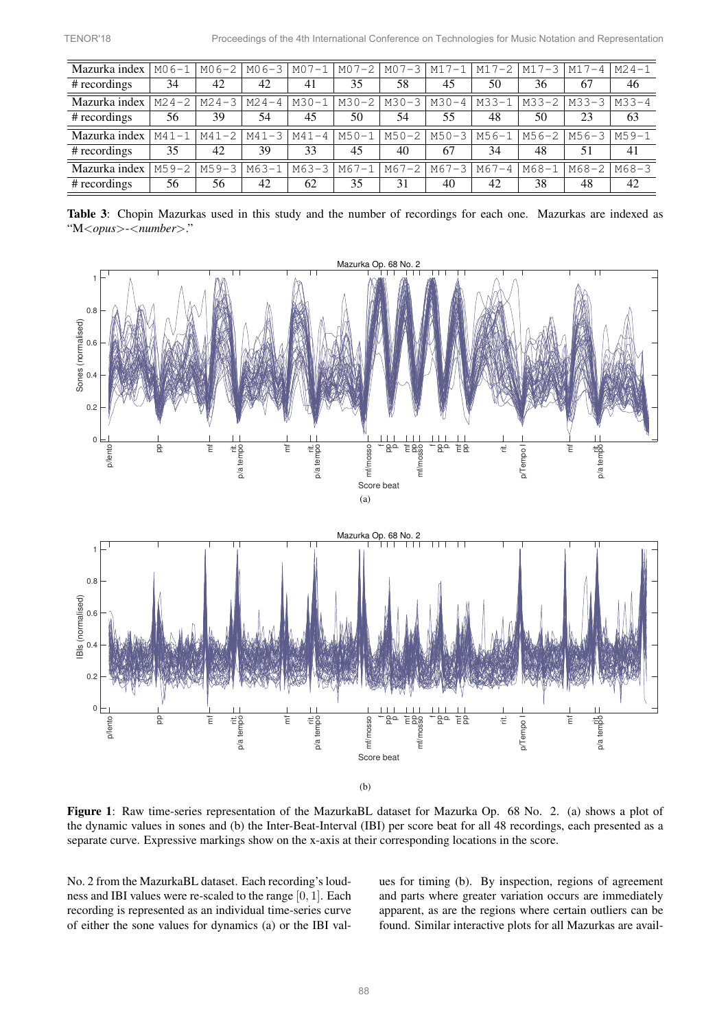| Mazurka index | $M06 - 1$  | $M06-2$   | $M06-3$    | $M07 - 1$           | $M07 - 2$ | $M07-3$ | $M17 - 1$ | $M17-2$   | $M17 - 3$ | $M17 - 4$ | $M24 - 1$ |
|---------------|------------|-----------|------------|---------------------|-----------|---------|-----------|-----------|-----------|-----------|-----------|
| # recordings  | 34         | 42        | 42         | 41                  | 35        | 58      | 45        | 50        | 36        | 67        | 46        |
| Mazurka index | $M2.4 - 2$ | $M24 - 3$ | $M2.4 - 4$ | $M30 - 1$           | $M30-2$   | $M30-3$ | $M30 - 4$ | $M33 - 1$ | $M33-2$   | $M33 - 3$ | $M33 - 4$ |
| # recordings  | 56         | 39        | 54         | 45                  | 50        | 54      | 55        | 48        | 50        | 23        | 63        |
| Mazurka index | $M41 - 1$  | $M41 - 2$ | $M41 - 3$  | $M41 - 4$ $M50 - 1$ |           | $M50-2$ | M50-3     | M56-1     | $M56 - 2$ | $M56-3$   | $M59 - 1$ |
| # recordings  | 35         | 42        | 39         | 33                  | 45        | 40      | 67        | 34        | 48        | 51        | 41        |
| Mazurka index | $M59 - 2$  | $M59 - 3$ | $M63 - 1$  | $M63-3$             | $M67 - 1$ | $M67-2$ | M67-3     | M67-4     | $M68 - 1$ | M68-2     | $M68 - 3$ |
| # recordings  | 56         | 56        | 42         | 62                  | 35        | 31      | 40        | 42        | 38        | 48        | 42        |

<span id="page-3-0"></span>Table 3: Chopin Mazurkas used in this study and the number of recordings for each one. Mazurkas are indexed as "M*<opus>*-*<number>*."



<span id="page-3-1"></span>Figure 1: Raw time-series representation of the MazurkaBL dataset for Mazurka Op. 68 No. 2. (a) shows a plot of the dynamic values in sones and (b) the Inter-Beat-Interval (IBI) per score beat for all 48 recordings, each presented as a separate curve. Expressive markings show on the x-axis at their corresponding locations in the score.

No. 2 from the MazurkaBL dataset. Each recording's loudness and IBI values were re-scaled to the range [0*,* 1]. Each recording is represented as an individual time-series curve of either the sone values for dynamics (a) or the IBI values for timing (b). By inspection, regions of agreement and parts where greater variation occurs are immediately apparent, as are the regions where certain outliers can be found. Similar interactive plots for all Mazurkas are avail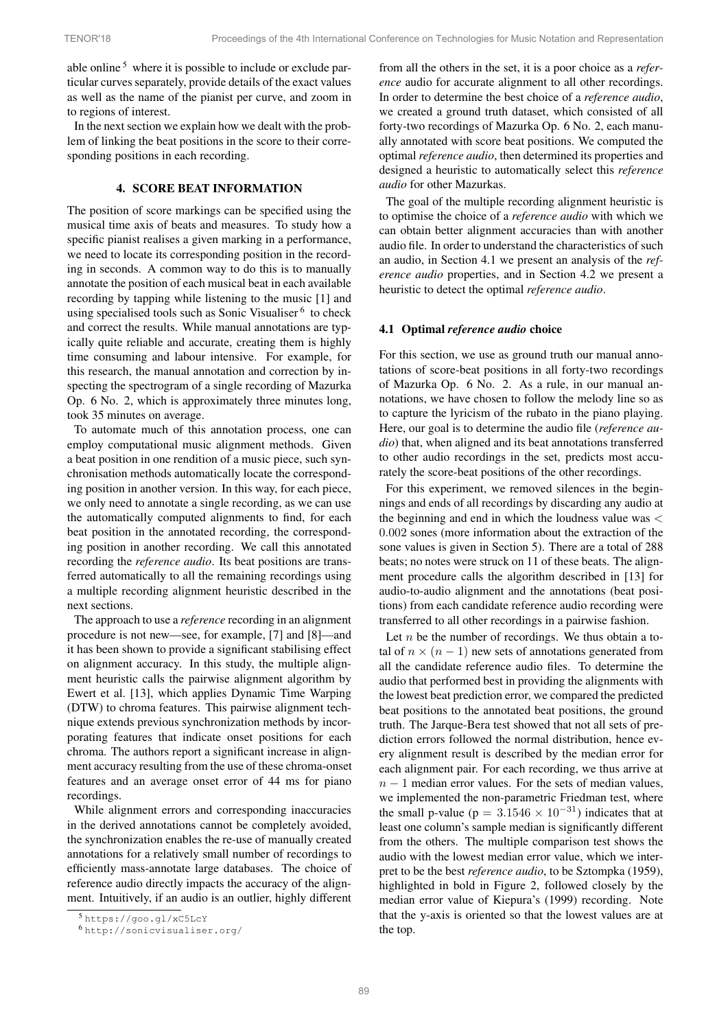able online  $5$  where it is possible to include or exclude particular curves separately, provide details of the exact values as well as the name of the pianist per curve, and zoom in to regions of interest.

In the next section we explain how we dealt with the problem of linking the beat positions in the score to their corresponding positions in each recording.

### 4. SCORE BEAT INFORMATION

<span id="page-4-0"></span>The position of score markings can be specified using the musical time axis of beats and measures. To study how a specific pianist realises a given marking in a performance, we need to locate its corresponding position in the recording in seconds. A common way to do this is to manually annotate the position of each musical beat in each available recording by tapping while listening to the music [\[1\]](#page-7-2) and using specialised tools such as Sonic Visualiser<sup>[6](#page-4-2)</sup> to check and correct the results. While manual annotations are typically quite reliable and accurate, creating them is highly time consuming and labour intensive. For example, for this research, the manual annotation and correction by inspecting the spectrogram of a single recording of Mazurka Op. 6 No. 2, which is approximately three minutes long, took 35 minutes on average.

To automate much of this annotation process, one can employ computational music alignment methods. Given a beat position in one rendition of a music piece, such synchronisation methods automatically locate the corresponding position in another version. In this way, for each piece, we only need to annotate a single recording, as we can use the automatically computed alignments to find, for each beat position in the annotated recording, the corresponding position in another recording. We call this annotated recording the *reference audio*. Its beat positions are transferred automatically to all the remaining recordings using a multiple recording alignment heuristic described in the next sections.

The approach to use a *reference* recording in an alignment procedure is not new—see, for example, [\[7\]](#page-7-1) and [\[8\]](#page-8-0)—and it has been shown to provide a significant stabilising effect on alignment accuracy. In this study, the multiple alignment heuristic calls the pairwise alignment algorithm by Ewert et al. [\[13\]](#page-8-5), which applies Dynamic Time Warping (DTW) to chroma features. This pairwise alignment technique extends previous synchronization methods by incorporating features that indicate onset positions for each chroma. The authors report a significant increase in alignment accuracy resulting from the use of these chroma-onset features and an average onset error of 44 ms for piano recordings.

While alignment errors and corresponding inaccuracies in the derived annotations cannot be completely avoided, the synchronization enables the re-use of manually created annotations for a relatively small number of recordings to efficiently mass-annotate large databases. The choice of reference audio directly impacts the accuracy of the alignment. Intuitively, if an audio is an outlier, highly different

from all the others in the set, it is a poor choice as a *reference* audio for accurate alignment to all other recordings. In order to determine the best choice of a *reference audio*, we created a ground truth dataset, which consisted of all forty-two recordings of Mazurka Op. 6 No. 2, each manually annotated with score beat positions. We computed the optimal *reference audio*, then determined its properties and designed a heuristic to automatically select this *reference audio* for other Mazurkas.

The goal of the multiple recording alignment heuristic is to optimise the choice of a *reference audio* with which we can obtain better alignment accuracies than with another audio file. In order to understand the characteristics of such an audio, in Section [4.1](#page-4-3) we present an analysis of the *reference audio* properties, and in Section [4.2](#page-5-0) we present a heuristic to detect the optimal *reference audio*.

### <span id="page-4-3"></span>4.1 Optimal *reference audio* choice

For this section, we use as ground truth our manual annotations of score-beat positions in all forty-two recordings of Mazurka Op. 6 No. 2. As a rule, in our manual annotations, we have chosen to follow the melody line so as to capture the lyricism of the rubato in the piano playing. Here, our goal is to determine the audio file (*reference audio*) that, when aligned and its beat annotations transferred to other audio recordings in the set, predicts most accurately the score-beat positions of the other recordings.

For this experiment, we removed silences in the beginnings and ends of all recordings by discarding any audio at the beginning and end in which the loudness value was *<* 0*.*002 sones (more information about the extraction of the sone values is given in Section [5\)](#page-6-0). There are a total of 288 beats; no notes were struck on 11 of these beats. The alignment procedure calls the algorithm described in [\[13\]](#page-8-5) for audio-to-audio alignment and the annotations (beat positions) from each candidate reference audio recording were transferred to all other recordings in a pairwise fashion.

Let *n* be the number of recordings. We thus obtain a total of  $n \times (n-1)$  new sets of annotations generated from all the candidate reference audio files. To determine the audio that performed best in providing the alignments with the lowest beat prediction error, we compared the predicted beat positions to the annotated beat positions, the ground truth. The Jarque-Bera test showed that not all sets of prediction errors followed the normal distribution, hence every alignment result is described by the median error for each alignment pair. For each recording, we thus arrive at  $n-1$  median error values. For the sets of median values, we implemented the non-parametric Friedman test, where the small p-value ( $p = 3.1546 \times 10^{-31}$ ) indicates that at least one column's sample median is significantly different from the others. The multiple comparison test shows the audio with the lowest median error value, which we interpret to be the best *reference audio*, to be Sztompka (1959), highlighted in bold in Figure [2,](#page-5-1) followed closely by the median error value of Kiepura's (1999) recording. Note that the y-axis is oriented so that the lowest values are at the top.

<span id="page-4-1"></span><sup>5</sup> <https://goo.gl/xC5LcY>

<span id="page-4-2"></span><sup>6</sup> <http://sonicvisualiser.org/>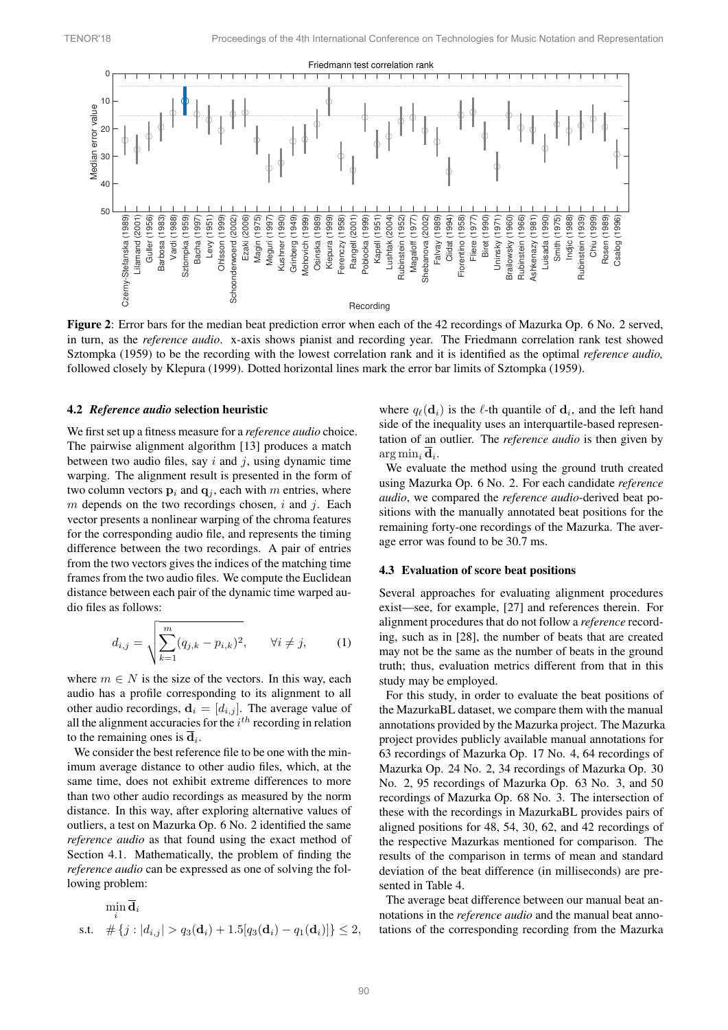

<span id="page-5-1"></span>Figure 2: Error bars for the median beat prediction error when each of the 42 recordings of Mazurka Op. 6 No. 2 served, in turn, as the *reference audio*. x-axis shows pianist and recording year. The Friedmann correlation rank test showed Sztompka (1959) to be the recording with the lowest correlation rank and it is identified as the optimal *reference audio,* followed closely by Klepura (1999). Dotted horizontal lines mark the error bar limits of Sztompka (1959).

#### <span id="page-5-0"></span>4.2 *Reference audio* selection heuristic

We first set up a fitness measure for a *reference audio* choice. The pairwise alignment algorithm [\[13\]](#page-8-5) produces a match between two audio files, say *i* and *j*, using dynamic time warping. The alignment result is presented in the form of two column vectors  $\mathbf{p}_i$  and  $\mathbf{q}_j$ , each with m entries, where *m* depends on the two recordings chosen, *i* and *j*. Each vector presents a nonlinear warping of the chroma features for the corresponding audio file, and represents the timing difference between the two recordings. A pair of entries from the two vectors gives the indices of the matching time frames from the two audio files. We compute the Euclidean distance between each pair of the dynamic time warped audio files as follows:

$$
d_{i,j} = \sqrt{\sum_{k=1}^{m} (q_{j,k} - p_{i,k})^2}, \qquad \forall i \neq j,
$$
 (1)

where  $m \in N$  is the size of the vectors. In this way, each audio has a profile corresponding to its alignment to all other audio recordings,  $\mathbf{d}_i = [d_{i,j}]$ . The average value of all the alignment accuracies for the *i th* recording in relation to the remaining ones is  $\overline{d_i}$ .

We consider the best reference file to be one with the minimum average distance to other audio files, which, at the same time, does not exhibit extreme differences to more than two other audio recordings as measured by the norm distance. In this way, after exploring alternative values of outliers, a test on Mazurka Op. 6 No. 2 identified the same *reference audio* as that found using the exact method of Section [4.1.](#page-4-3) Mathematically, the problem of finding the *reference audio* can be expressed as one of solving the following problem:

 $\min \mathbf{d}_i$ *i* s.t.  $\#\{j : |d_{i,j}| > q_3(\mathbf{d}_i) + 1.5[q_3(\mathbf{d}_i) - q_1(\mathbf{d}_i)]\} \leq 2,$  where  $q_{\ell}(\mathbf{d}_i)$  is the  $\ell$ -th quantile of  $\mathbf{d}_i$ , and the left hand side of the inequality uses an interquartile-based representation of an outlier. The *reference audio* is then given by arg min<sub>i</sub>  $\overline{\mathbf{d}}_i$ .

We evaluate the method using the ground truth created using Mazurka Op. 6 No. 2. For each candidate *reference audio*, we compared the *reference audio*-derived beat positions with the manually annotated beat positions for the remaining forty-one recordings of the Mazurka. The average error was found to be 30.7 ms.

### 4.3 Evaluation of score beat positions

Several approaches for evaluating alignment procedures exist—see, for example, [\[27\]](#page-8-19) and references therein. For alignment procedures that do not follow a *reference* recording, such as in [\[28\]](#page-8-20), the number of beats that are created may not be the same as the number of beats in the ground truth; thus, evaluation metrics different from that in this study may be employed.

For this study, in order to evaluate the beat positions of the MazurkaBL dataset, we compare them with the manual annotations provided by the Mazurka project. The Mazurka project provides publicly available manual annotations for 63 recordings of Mazurka Op. 17 No. 4, 64 recordings of Mazurka Op. 24 No. 2, 34 recordings of Mazurka Op. 30 No. 2, 95 recordings of Mazurka Op. 63 No. 3, and 50 recordings of Mazurka Op. 68 No. 3. The intersection of these with the recordings in MazurkaBL provides pairs of aligned positions for 48, 54, 30, 62, and 42 recordings of the respective Mazurkas mentioned for comparison. The results of the comparison in terms of mean and standard deviation of the beat difference (in milliseconds) are presented in Table [4.](#page-6-2)

The average beat difference between our manual beat annotations in the *reference audio* and the manual beat annotations of the corresponding recording from the Mazurka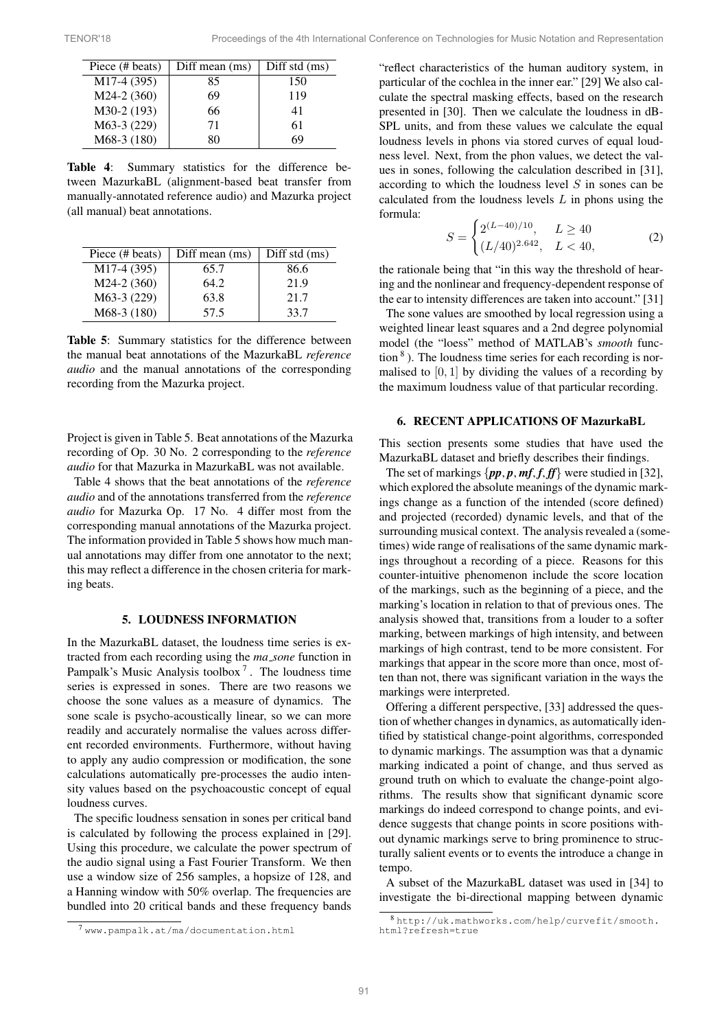<span id="page-6-2"></span>

| Piece (# beats)          | Diff mean $(ms)$ | Diff std (ms) |
|--------------------------|------------------|---------------|
| M <sub>17</sub> -4 (395) | 85               | 150           |
| M24-2 (360)              | 69               | 119           |
| M30-2 (193)              | 66               | 41            |
| M63-3 (229)              | 71               | 61            |
| M68-3 (180)              | 80               | 69            |

Table 4: Summary statistics for the difference between MazurkaBL (alignment-based beat transfer from manually-annotated reference audio) and Mazurka project (all manual) beat annotations.

<span id="page-6-3"></span>

| Piece (# beats)          | Diff mean $(ms)$ | Diff std(ms) |
|--------------------------|------------------|--------------|
| M <sub>17</sub> -4 (395) | 65.7             | 86.6         |
| M24-2 (360)              | 64.2             | 21.9         |
| M63-3 (229)              | 63.8             | 21.7         |
| M68-3 (180)              | 57.5             | 33.7         |

Table 5: Summary statistics for the difference between the manual beat annotations of the MazurkaBL *reference audio* and the manual annotations of the corresponding recording from the Mazurka project.

Project is given in Table [5.](#page-6-3) Beat annotations of the Mazurka recording of Op. 30 No. 2 corresponding to the *reference audio* for that Mazurka in MazurkaBL was not available.

Table [4](#page-6-2) shows that the beat annotations of the *reference audio* and of the annotations transferred from the *reference audio* for Mazurka Op. 17 No. 4 differ most from the corresponding manual annotations of the Mazurka project. The information provided in Table [5](#page-6-3) shows how much manual annotations may differ from one annotator to the next; this may reflect a difference in the chosen criteria for marking beats.

#### 5. LOUDNESS INFORMATION

<span id="page-6-0"></span>In the MazurkaBL dataset, the loudness time series is extracted from each recording using the *ma sone* function in Pampalk's Music Analysis toolbox<sup>[7](#page-6-4)</sup>. The loudness time series is expressed in sones. There are two reasons we choose the sone values as a measure of dynamics. The sone scale is psycho-acoustically linear, so we can more readily and accurately normalise the values across different recorded environments. Furthermore, without having to apply any audio compression or modification, the sone calculations automatically pre-processes the audio intensity values based on the psychoacoustic concept of equal loudness curves.

The specific loudness sensation in sones per critical band is calculated by following the process explained in [\[29\]](#page-8-21). Using this procedure, we calculate the power spectrum of the audio signal using a Fast Fourier Transform. We then use a window size of 256 samples, a hopsize of 128, and a Hanning window with 50% overlap. The frequencies are bundled into 20 critical bands and these frequency bands

"reflect characteristics of the human auditory system, in particular of the cochlea in the inner ear." [\[29\]](#page-8-21) We also calculate the spectral masking effects, based on the research presented in [\[30\]](#page-8-22). Then we calculate the loudness in dB-SPL units, and from these values we calculate the equal loudness levels in phons via stored curves of equal loudness level. Next, from the phon values, we detect the values in sones, following the calculation described in [\[31\]](#page-8-23), according to which the loudness level *S* in sones can be calculated from the loudness levels *L* in phons using the formula:

$$
S = \begin{cases} 2^{(L-40)/10}, & L \ge 40\\ (L/40)^{2.642}, & L < 40, \end{cases}
$$
 (2)

the rationale being that "in this way the threshold of hearing and the nonlinear and frequency-dependent response of the ear to intensity differences are taken into account." [\[31\]](#page-8-23)

The sone values are smoothed by local regression using a weighted linear least squares and a 2nd degree polynomial model (the "loess" method of MATLAB's *smooth* function  $8$ ). The loudness time series for each recording is normalised to  $[0, 1]$  by dividing the values of a recording by the maximum loudness value of that particular recording.

#### <span id="page-6-1"></span>6. RECENT APPLICATIONS OF MazurkaBL

This section presents some studies that have used the MazurkaBL dataset and briefly describes their findings.

The set of markings  $\{pp, p, mf, f, ff\}$  were studied in [\[32\]](#page-8-24), which explored the absolute meanings of the dynamic markings change as a function of the intended (score defined) and projected (recorded) dynamic levels, and that of the surrounding musical context. The analysis revealed a (sometimes) wide range of realisations of the same dynamic markings throughout a recording of a piece. Reasons for this counter-intuitive phenomenon include the score location of the markings, such as the beginning of a piece, and the marking's location in relation to that of previous ones. The analysis showed that, transitions from a louder to a softer marking, between markings of high intensity, and between markings of high contrast, tend to be more consistent. For markings that appear in the score more than once, most often than not, there was significant variation in the ways the markings were interpreted.

Offering a different perspective, [\[33\]](#page-8-25) addressed the question of whether changes in dynamics, as automatically identified by statistical change-point algorithms, corresponded to dynamic markings. The assumption was that a dynamic marking indicated a point of change, and thus served as ground truth on which to evaluate the change-point algorithms. The results show that significant dynamic score markings do indeed correspond to change points, and evidence suggests that change points in score positions without dynamic markings serve to bring prominence to structurally salient events or to events the introduce a change in tempo.

A subset of the MazurkaBL dataset was used in [\[34\]](#page-8-26) to investigate the bi-directional mapping between dynamic

<span id="page-6-4"></span><sup>7</sup> <www.pampalk.at/ma/documentation.html>

<span id="page-6-5"></span><sup>8</sup> [http://uk.mathworks.com/help/curvefit/smooth.](http://uk.mathworks.com/help/curvefit/smooth.html?refresh=true) [html?refresh=true](http://uk.mathworks.com/help/curvefit/smooth.html?refresh=true)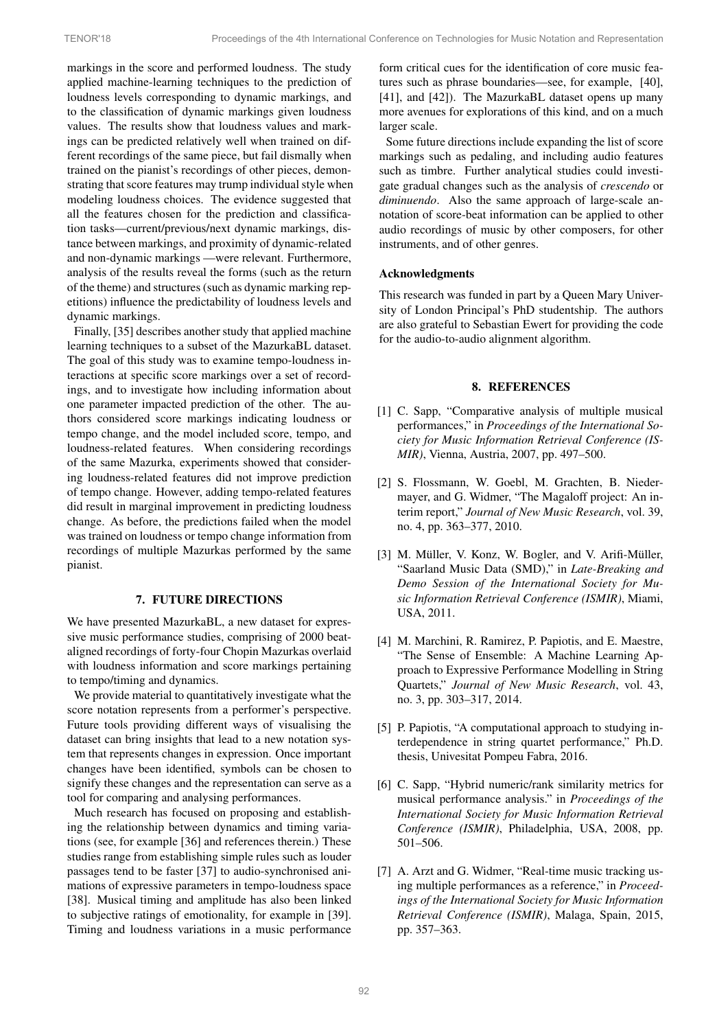markings in the score and performed loudness. The study applied machine-learning techniques to the prediction of loudness levels corresponding to dynamic markings, and to the classification of dynamic markings given loudness values. The results show that loudness values and markings can be predicted relatively well when trained on different recordings of the same piece, but fail dismally when trained on the pianist's recordings of other pieces, demonstrating that score features may trump individual style when modeling loudness choices. The evidence suggested that all the features chosen for the prediction and classification tasks—current/previous/next dynamic markings, distance between markings, and proximity of dynamic-related and non-dynamic markings —were relevant. Furthermore, analysis of the results reveal the forms (such as the return of the theme) and structures (such as dynamic marking repetitions) influence the predictability of loudness levels and dynamic markings.

Finally, [\[35\]](#page-9-0) describes another study that applied machine learning techniques to a subset of the MazurkaBL dataset. The goal of this study was to examine tempo-loudness interactions at specific score markings over a set of recordings, and to investigate how including information about one parameter impacted prediction of the other. The authors considered score markings indicating loudness or tempo change, and the model included score, tempo, and loudness-related features. When considering recordings of the same Mazurka, experiments showed that considering loudness-related features did not improve prediction of tempo change. However, adding tempo-related features did result in marginal improvement in predicting loudness change. As before, the predictions failed when the model was trained on loudness or tempo change information from recordings of multiple Mazurkas performed by the same pianist.

# 7. FUTURE DIRECTIONS

<span id="page-7-7"></span>We have presented MazurkaBL, a new dataset for expressive music performance studies, comprising of 2000 beataligned recordings of forty-four Chopin Mazurkas overlaid with loudness information and score markings pertaining to tempo/timing and dynamics.

We provide material to quantitatively investigate what the score notation represents from a performer's perspective. Future tools providing different ways of visualising the dataset can bring insights that lead to a new notation system that represents changes in expression. Once important changes have been identified, symbols can be chosen to signify these changes and the representation can serve as a tool for comparing and analysing performances.

Much research has focused on proposing and establishing the relationship between dynamics and timing variations (see, for example [\[36\]](#page-9-1) and references therein.) These studies range from establishing simple rules such as louder passages tend to be faster [\[37\]](#page-9-2) to audio-synchronised animations of expressive parameters in tempo-loudness space [\[38\]](#page-9-3). Musical timing and amplitude has also been linked to subjective ratings of emotionality, for example in [\[39\]](#page-9-4). Timing and loudness variations in a music performance form critical cues for the identification of core music features such as phrase boundaries—see, for example, [\[40\]](#page-9-5), [\[41\]](#page-9-6), and [\[42\]](#page-9-7)). The MazurkaBL dataset opens up many more avenues for explorations of this kind, and on a much larger scale.

Some future directions include expanding the list of score markings such as pedaling, and including audio features such as timbre. Further analytical studies could investigate gradual changes such as the analysis of *crescendo* or *diminuendo*. Also the same approach of large-scale annotation of score-beat information can be applied to other audio recordings of music by other composers, for other instruments, and of other genres.

#### Acknowledgments

This research was funded in part by a Queen Mary University of London Principal's PhD studentship. The authors are also grateful to Sebastian Ewert for providing the code for the audio-to-audio alignment algorithm.

#### 8. REFERENCES

- <span id="page-7-2"></span>[1] C. Sapp, "Comparative analysis of multiple musical performances," in *Proceedings of the International Society for Music Information Retrieval Conference (IS-MIR)*, Vienna, Austria, 2007, pp. 497–500.
- <span id="page-7-3"></span>[2] S. Flossmann, W. Goebl, M. Grachten, B. Niedermayer, and G. Widmer, "The Magaloff project: An interim report," *Journal of New Music Research*, vol. 39, no. 4, pp. 363–377, 2010.
- <span id="page-7-4"></span>[3] M. Müller, V. Konz, W. Bogler, and V. Arifi-Müller, "Saarland Music Data (SMD)," in *Late-Breaking and Demo Session of the International Society for Music Information Retrieval Conference (ISMIR)*, Miami, USA, 2011.
- <span id="page-7-5"></span>[4] M. Marchini, R. Ramirez, P. Papiotis, and E. Maestre, "The Sense of Ensemble: A Machine Learning Approach to Expressive Performance Modelling in String Quartets," *Journal of New Music Research*, vol. 43, no. 3, pp. 303–317, 2014.
- <span id="page-7-6"></span>[5] P. Papiotis, "A computational approach to studying interdependence in string quartet performance," Ph.D. thesis, Univesitat Pompeu Fabra, 2016.
- <span id="page-7-0"></span>[6] C. Sapp, "Hybrid numeric/rank similarity metrics for musical performance analysis." in *Proceedings of the International Society for Music Information Retrieval Conference (ISMIR)*, Philadelphia, USA, 2008, pp. 501–506.
- <span id="page-7-1"></span>[7] A. Arzt and G. Widmer, "Real-time music tracking using multiple performances as a reference," in *Proceedings of the International Society for Music Information Retrieval Conference (ISMIR)*, Malaga, Spain, 2015, pp. 357–363.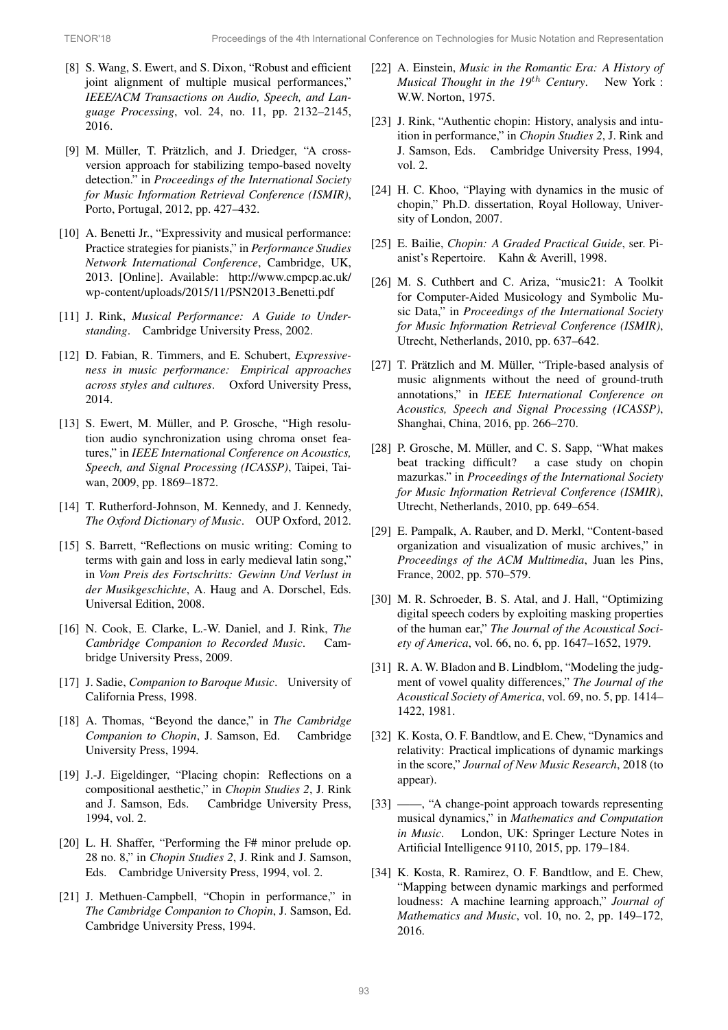- <span id="page-8-0"></span>[8] S. Wang, S. Ewert, and S. Dixon, "Robust and efficient" joint alignment of multiple musical performances," *IEEE/ACM Transactions on Audio, Speech, and Language Processing*, vol. 24, no. 11, pp. 2132–2145, 2016.
- <span id="page-8-1"></span>[9] M. Müller, T. Prätzlich, and J. Driedger, "A crossversion approach for stabilizing tempo-based novelty detection." in *Proceedings of the International Society for Music Information Retrieval Conference (ISMIR)*, Porto, Portugal, 2012, pp. 427–432.
- <span id="page-8-2"></span>[10] A. Benetti Jr., "Expressivity and musical performance: Practice strategies for pianists," in *Performance Studies Network International Conference*, Cambridge, UK, 2013. [Online]. Available: [http://www.cmpcp.ac.uk/](http://www.cmpcp.ac.uk/wp-content/uploads/2015/11/PSN2013_Benetti.pdf) [wp-content/uploads/2015/11/PSN2013](http://www.cmpcp.ac.uk/wp-content/uploads/2015/11/PSN2013_Benetti.pdf) Benetti.pdf
- <span id="page-8-3"></span>[11] J. Rink, *Musical Performance: A Guide to Understanding*. Cambridge University Press, 2002.
- <span id="page-8-4"></span>[12] D. Fabian, R. Timmers, and E. Schubert, *Expressiveness in music performance: Empirical approaches across styles and cultures*. Oxford University Press, 2014.
- <span id="page-8-5"></span>[13] S. Ewert, M. Müller, and P. Grosche, "High resolution audio synchronization using chroma onset features," in *IEEE International Conference on Acoustics, Speech, and Signal Processing (ICASSP)*, Taipei, Taiwan, 2009, pp. 1869–1872.
- <span id="page-8-6"></span>[14] T. Rutherford-Johnson, M. Kennedy, and J. Kennedy, *The Oxford Dictionary of Music*. OUP Oxford, 2012.
- <span id="page-8-7"></span>[15] S. Barrett, "Reflections on music writing: Coming to terms with gain and loss in early medieval latin song," in *Vom Preis des Fortschritts: Gewinn Und Verlust in der Musikgeschichte*, A. Haug and A. Dorschel, Eds. Universal Edition, 2008.
- <span id="page-8-8"></span>[16] N. Cook, E. Clarke, L.-W. Daniel, and J. Rink, *The Cambridge Companion to Recorded Music*. Cambridge University Press, 2009.
- <span id="page-8-9"></span>[17] J. Sadie, *Companion to Baroque Music*. University of California Press, 1998.
- <span id="page-8-10"></span>[18] A. Thomas, "Beyond the dance," in *The Cambridge Companion to Chopin*, J. Samson, Ed. Cambridge University Press, 1994.
- <span id="page-8-11"></span>[19] J.-J. Eigeldinger, "Placing chopin: Reflections on a compositional aesthetic," in *Chopin Studies 2*, J. Rink and J. Samson, Eds. Cambridge University Press, 1994, vol. 2.
- <span id="page-8-12"></span>[20] L. H. Shaffer, "Performing the F# minor prelude op. 28 no. 8," in *Chopin Studies 2*, J. Rink and J. Samson, Eds. Cambridge University Press, 1994, vol. 2.
- <span id="page-8-13"></span>[21] J. Methuen-Campbell, "Chopin in performance," in *The Cambridge Companion to Chopin*, J. Samson, Ed. Cambridge University Press, 1994.
- <span id="page-8-14"></span>[22] A. Einstein, *Music in the Romantic Era: A History of Musical Thought in the 19th Century*. New York : W.W. Norton, 1975.
- <span id="page-8-15"></span>[23] J. Rink, "Authentic chopin: History, analysis and intuition in performance," in *Chopin Studies 2*, J. Rink and J. Samson, Eds. Cambridge University Press, 1994, vol. 2.
- <span id="page-8-16"></span>[24] H. C. Khoo, "Playing with dynamics in the music of chopin," Ph.D. dissertation, Royal Holloway, University of London, 2007.
- <span id="page-8-17"></span>[25] E. Bailie, *Chopin: A Graded Practical Guide*, ser. Pianist's Repertoire. Kahn & Averill, 1998.
- <span id="page-8-18"></span>[26] M. S. Cuthbert and C. Ariza, "music21: A Toolkit for Computer-Aided Musicology and Symbolic Music Data," in *Proceedings of the International Society for Music Information Retrieval Conference (ISMIR)*, Utrecht, Netherlands, 2010, pp. 637–642.
- <span id="page-8-19"></span>[27] T. Prätzlich and M. Müller, "Triple-based analysis of music alignments without the need of ground-truth annotations," in *IEEE International Conference on Acoustics, Speech and Signal Processing (ICASSP)*, Shanghai, China, 2016, pp. 266–270.
- <span id="page-8-20"></span>[28] P. Grosche, M. Müller, and C. S. Sapp, "What makes beat tracking difficult? a case study on chopin mazurkas." in *Proceedings of the International Society for Music Information Retrieval Conference (ISMIR)*, Utrecht, Netherlands, 2010, pp. 649–654.
- <span id="page-8-21"></span>[29] E. Pampalk, A. Rauber, and D. Merkl, "Content-based" organization and visualization of music archives," in *Proceedings of the ACM Multimedia*, Juan les Pins, France, 2002, pp. 570–579.
- <span id="page-8-22"></span>[30] M. R. Schroeder, B. S. Atal, and J. Hall, "Optimizing digital speech coders by exploiting masking properties of the human ear," *The Journal of the Acoustical Society of America*, vol. 66, no. 6, pp. 1647–1652, 1979.
- <span id="page-8-23"></span>[31] R. A. W. Bladon and B. Lindblom, "Modeling the judgment of vowel quality differences," *The Journal of the Acoustical Society of America*, vol. 69, no. 5, pp. 1414– 1422, 1981.
- <span id="page-8-24"></span>[32] K. Kosta, O. F. Bandtlow, and E. Chew, "Dynamics and relativity: Practical implications of dynamic markings in the score," *Journal of New Music Research*, 2018 (to appear).
- <span id="page-8-25"></span>[33] ——, "A change-point approach towards representing musical dynamics," in *Mathematics and Computation in Music*. London, UK: Springer Lecture Notes in Artificial Intelligence 9110, 2015, pp. 179–184.
- <span id="page-8-26"></span>[34] K. Kosta, R. Ramirez, O. F. Bandtlow, and E. Chew, "Mapping between dynamic markings and performed loudness: A machine learning approach," *Journal of Mathematics and Music*, vol. 10, no. 2, pp. 149–172, 2016.